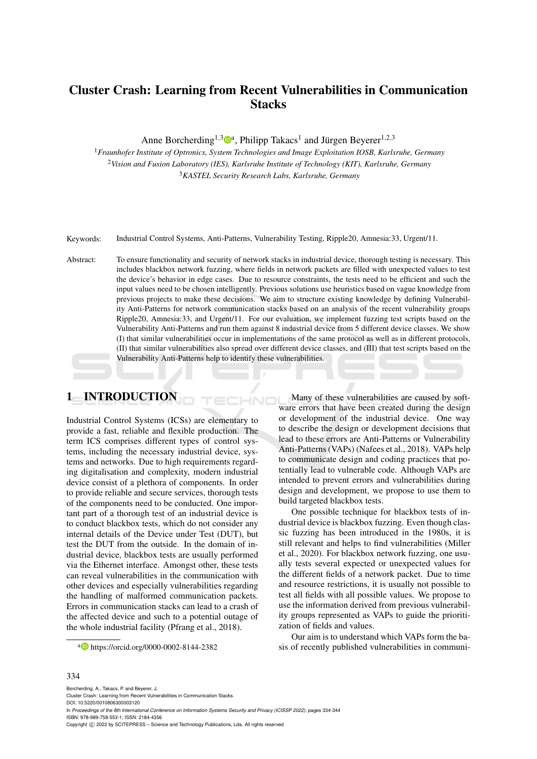# Cluster Crash: Learning from Recent Vulnerabilities in Communication **Stacks**

Anne Borcherding<sup>1,3</sup><sup>0</sup><sup>a</sup>, Philipp Takacs<sup>1</sup> and Jürgen Beyerer<sup>1,2,3</sup>

<sup>1</sup>*Fraunhofer Institute of Optronics, System Technologies and Image Exploitation IOSB, Karlsruhe, Germany* <sup>2</sup>*Vision and Fusion Laboratory (IES), Karlsruhe Institute of Technology (KIT), Karlsruhe, Germany* <sup>3</sup>*KASTEL Security Research Labs, Karlsruhe, Germany*

Keywords: Industrial Control Systems, Anti-Patterns, Vulnerability Testing, Ripple20, Amnesia:33, Urgent/11.

Abstract: To ensure functionality and security of network stacks in industrial device, thorough testing is necessary. This includes blackbox network fuzzing, where fields in network packets are filled with unexpected values to test the device's behavior in edge cases. Due to resource constraints, the tests need to be efficient and such the input values need to be chosen intelligently. Previous solutions use heuristics based on vague knowledge from previous projects to make these decisions. We aim to structure existing knowledge by defining Vulnerability Anti-Patterns for network communication stacks based on an analysis of the recent vulnerability groups Ripple20, Amnesia:33, and Urgent/11. For our evaluation, we implement fuzzing test scripts based on the Vulnerability Anti-Patterns and run them against 8 industrial device from 5 different device classes. We show (I) that similar vulnerabilities occur in implementations of the same protocol as well as in different protocols, (II) that similar vulnerabilities also spread over different device classes, and (III) that test scripts based on the Vulnerability Anti-Patterns help to identify these vulnerabilities.

HNC

# 1 INTRODUCTION

Industrial Control Systems (ICSs) are elementary to provide a fast, reliable and flexible production. The term ICS comprises different types of control systems, including the necessary industrial device, systems and networks. Due to high requirements regarding digitalisation and complexity, modern industrial device consist of a plethora of components. In order to provide reliable and secure services, thorough tests of the components need to be conducted. One important part of a thorough test of an industrial device is to conduct blackbox tests, which do not consider any internal details of the Device under Test (DUT), but test the DUT from the outside. In the domain of industrial device, blackbox tests are usually performed via the Ethernet interface. Amongst other, these tests can reveal vulnerabilities in the communication with other devices and especially vulnerabilities regarding the handling of malformed communication packets. Errors in communication stacks can lead to a crash of the affected device and such to a potential outage of the whole industrial facility (Pfrang et al., 2018).

Many of these vulnerabilities are caused by software errors that have been created during the design or development of the industrial device. One way to describe the design or development decisions that lead to these errors are Anti-Patterns or Vulnerability Anti-Patterns (VAPs) (Nafees et al., 2018). VAPs help to communicate design and coding practices that potentially lead to vulnerable code. Although VAPs are intended to prevent errors and vulnerabilities during design and development, we propose to use them to build targeted blackbox tests.

One possible technique for blackbox tests of industrial device is blackbox fuzzing. Even though classic fuzzing has been introduced in the 1980s, it is still relevant and helps to find vulnerabilities (Miller et al., 2020). For blackbox network fuzzing, one usually tests several expected or unexpected values for the different fields of a network packet. Due to time and resource restrictions, it is usually not possible to test all fields with all possible values. We propose to use the information derived from previous vulnerability groups represented as VAPs to guide the prioritization of fields and values.

Our aim is to understand which VAPs form the basis of recently published vulnerabilities in communi-

### <sup>a</sup> https://orcid.org/0000-0002-8144-2382

#### 334

Borcherding, A., Takacs, P. and Beyerer, J. Cluster Crash: Learning from Recent Vulnerabilities in Communication Stacks. DOI: 10.5220/0010806300003120 In *Proceedings of the 8th International Conference on Information Systems Security and Privacy (ICISSP 2022)*, pages 334-344 ISBN: 978-989-758-553-1; ISSN: 2184-4356 Copyright (C) 2022 by SCITEPRESS - Science and Technology Publications, Lda. All rights reserved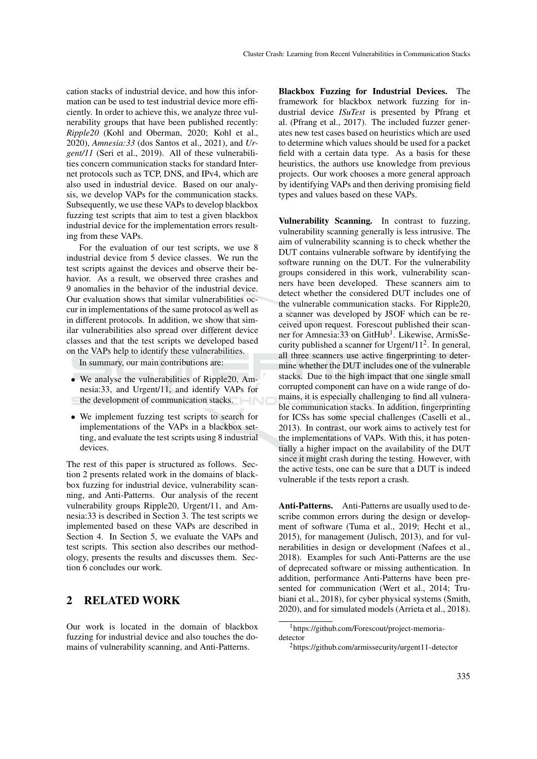cation stacks of industrial device, and how this information can be used to test industrial device more efficiently. In order to achieve this, we analyze three vulnerability groups that have been published recently: *Ripple20* (Kohl and Oberman, 2020; Kohl et al., 2020), *Amnesia:33* (dos Santos et al., 2021), and *Urgent/11* (Seri et al., 2019). All of these vulnerabilities concern communication stacks for standard Internet protocols such as TCP, DNS, and IPv4, which are also used in industrial device. Based on our analysis, we develop VAPs for the communication stacks. Subsequently, we use these VAPs to develop blackbox fuzzing test scripts that aim to test a given blackbox industrial device for the implementation errors resulting from these VAPs.

For the evaluation of our test scripts, we use 8 industrial device from 5 device classes. We run the test scripts against the devices and observe their behavior. As a result, we observed three crashes and 9 anomalies in the behavior of the industrial device. Our evaluation shows that similar vulnerabilities occur in implementations of the same protocol as well as in different protocols. In addition, we show that similar vulnerabilities also spread over different device classes and that the test scripts we developed based on the VAPs help to identify these vulnerabilities.

In summary, our main contributions are:

- We analyse the vulnerabilities of Ripple20, Amnesia:33, and Urgent/11, and identify VAPs for the development of communication stacks.
- We implement fuzzing test scripts to search for implementations of the VAPs in a blackbox setting, and evaluate the test scripts using 8 industrial devices.

The rest of this paper is structured as follows. Section 2 presents related work in the domains of blackbox fuzzing for industrial device, vulnerability scanning, and Anti-Patterns. Our analysis of the recent vulnerability groups Ripple20, Urgent/11, and Amnesia:33 is described in Section 3. The test scripts we implemented based on these VAPs are described in Section 4. In Section 5, we evaluate the VAPs and test scripts. This section also describes our methodology, presents the results and discusses them. Section 6 concludes our work.

## 2 RELATED WORK

Our work is located in the domain of blackbox fuzzing for industrial device and also touches the domains of vulnerability scanning, and Anti-Patterns.

Blackbox Fuzzing for Industrial Devices. The framework for blackbox network fuzzing for industrial device *ISuTest* is presented by Pfrang et al. (Pfrang et al., 2017). The included fuzzer generates new test cases based on heuristics which are used to determine which values should be used for a packet field with a certain data type. As a basis for these heuristics, the authors use knowledge from previous projects. Our work chooses a more general approach by identifying VAPs and then deriving promising field types and values based on these VAPs.

Vulnerability Scanning. In contrast to fuzzing, vulnerability scanning generally is less intrusive. The aim of vulnerability scanning is to check whether the DUT contains vulnerable software by identifying the software running on the DUT. For the vulnerability groups considered in this work, vulnerability scanners have been developed. These scanners aim to detect whether the considered DUT includes one of the vulnerable communication stacks. For Ripple20, a scanner was developed by JSOF which can be received upon request. Forescout published their scanner for Amnesia:33 on GitHub<sup>1</sup>. Likewise, ArmisSecurity published a scanner for Urgent/ $11<sup>2</sup>$ . In general, all three scanners use active fingerprinting to determine whether the DUT includes one of the vulnerable stacks. Due to the high impact that one single small corrupted component can have on a wide range of domains, it is especially challenging to find all vulnerable communication stacks. In addition, fingerprinting for ICSs has some special challenges (Caselli et al., 2013). In contrast, our work aims to actively test for the implementations of VAPs. With this, it has potentially a higher impact on the availability of the DUT since it might crash during the testing. However, with the active tests, one can be sure that a DUT is indeed vulnerable if the tests report a crash.

Anti-Patterns. Anti-Patterns are usually used to describe common errors during the design or development of software (Tuma et al., 2019; Hecht et al., 2015), for management (Julisch, 2013), and for vulnerabilities in design or development (Nafees et al., 2018). Examples for such Anti-Patterns are the use of deprecated software or missing authentication. In addition, performance Anti-Patterns have been presented for communication (Wert et al., 2014; Trubiani et al., 2018), for cyber physical systems (Smith, 2020), and for simulated models (Arrieta et al., 2018).

<sup>1</sup>https://github.com/Forescout/project-memoriadetector

<sup>2</sup>https://github.com/armissecurity/urgent11-detector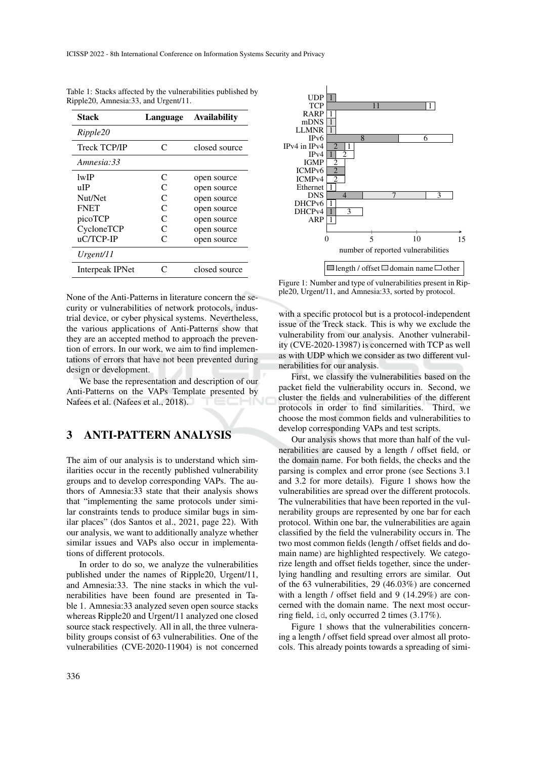| Stack               | Language          | <b>Availability</b> |
|---------------------|-------------------|---------------------|
| Ripple20            |                   |                     |
| <b>Treck TCP/IP</b> | C                 | closed source       |
| Amnesia: 33         |                   |                     |
| 1wIP                | C                 | open source         |
| uЮ                  | C                 | open source         |
| Nut/Net             | C                 | open source         |
| <b>FNET</b>         | C                 | open source         |
| picoTCP             | C                 | open source         |
| CycloneTCP          | C                 | open source         |
| uC/TCP-IP           | $\mathsf{\Gamma}$ | open source         |
| Urgent/11           |                   |                     |
| Interpeak IPNet     | ⊂                 | closed source       |
|                     |                   |                     |

Table 1: Stacks affected by the vulnerabilities published by Ripple20, Amnesia:33, and Urgent/11.

None of the Anti-Patterns in literature concern the security or vulnerabilities of network protocols, industrial device, or cyber physical systems. Nevertheless, the various applications of Anti-Patterns show that they are an accepted method to approach the prevention of errors. In our work, we aim to find implementations of errors that have not been prevented during design or development.

We base the representation and description of our Anti-Patterns on the VAPs Template presented by Nafees et al. (Nafees et al., 2018).

## 3 ANTI-PATTERN ANALYSIS

The aim of our analysis is to understand which similarities occur in the recently published vulnerability groups and to develop corresponding VAPs. The authors of Amnesia:33 state that their analysis shows that "implementing the same protocols under similar constraints tends to produce similar bugs in similar places" (dos Santos et al., 2021, page 22). With our analysis, we want to additionally analyze whether similar issues and VAPs also occur in implementations of different protocols.

In order to do so, we analyze the vulnerabilities published under the names of Ripple20, Urgent/11, and Amnesia:33. The nine stacks in which the vulnerabilities have been found are presented in Table 1. Amnesia:33 analyzed seven open source stacks whereas Ripple20 and Urgent/11 analyzed one closed source stack respectively. All in all, the three vulnerability groups consist of 63 vulnerabilities. One of the vulnerabilities (CVE-2020-11904) is not concerned



Figure 1: Number and type of vulnerabilities present in Ripple20, Urgent/11, and Amnesia:33, sorted by protocol.

with a specific protocol but is a protocol-independent issue of the Treck stack. This is why we exclude the vulnerability from our analysis. Another vulnerability (CVE-2020-13987) is concerned with TCP as well as with UDP which we consider as two different vulnerabilities for our analysis.

First, we classify the vulnerabilities based on the packet field the vulnerability occurs in. Second, we cluster the fields and vulnerabilities of the different protocols in order to find similarities. Third, we choose the most common fields and vulnerabilities to develop corresponding VAPs and test scripts.

Our analysis shows that more than half of the vulnerabilities are caused by a length / offset field, or the domain name. For both fields, the checks and the parsing is complex and error prone (see Sections 3.1 and 3.2 for more details). Figure 1 shows how the vulnerabilities are spread over the different protocols. The vulnerabilities that have been reported in the vulnerability groups are represented by one bar for each protocol. Within one bar, the vulnerabilities are again classified by the field the vulnerability occurs in. The two most common fields (length / offset fields and domain name) are highlighted respectively. We categorize length and offset fields together, since the underlying handling and resulting errors are similar. Out of the 63 vulnerabilities, 29 (46.03%) are concerned with a length / offset field and 9 (14.29%) are concerned with the domain name. The next most occurring field, id, only occurred 2 times (3.17%).

Figure 1 shows that the vulnerabilities concerning a length / offset field spread over almost all protocols. This already points towards a spreading of simi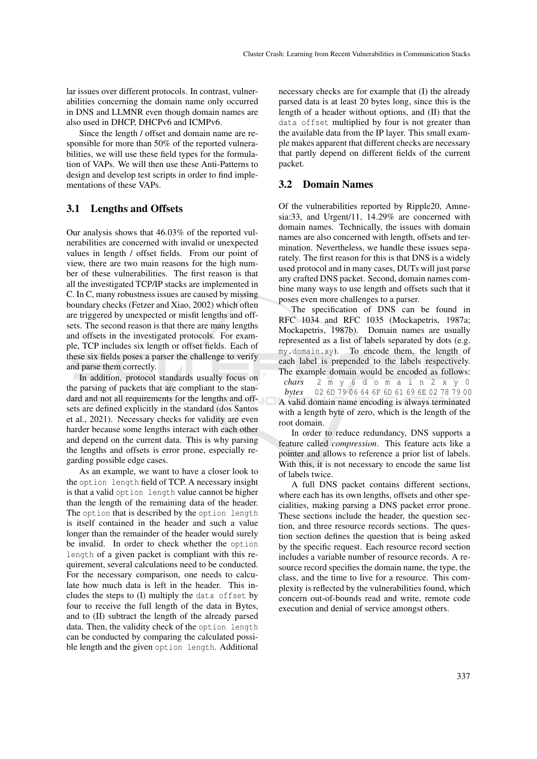lar issues over different protocols. In contrast, vulnerabilities concerning the domain name only occurred in DNS and LLMNR even though domain names are also used in DHCP, DHCPv6 and ICMPv6.

Since the length / offset and domain name are responsible for more than 50% of the reported vulnerabilities, we will use these field types for the formulation of VAPs. We will then use these Anti-Patterns to design and develop test scripts in order to find implementations of these VAPs.

### 3.1 Lengths and Offsets

Our analysis shows that 46.03% of the reported vulnerabilities are concerned with invalid or unexpected values in length / offset fields. From our point of view, there are two main reasons for the high number of these vulnerabilities. The first reason is that all the investigated TCP/IP stacks are implemented in C. In C, many robustness issues are caused by missing boundary checks (Fetzer and Xiao, 2002) which often are triggered by unexpected or misfit lengths and offsets. The second reason is that there are many lengths and offsets in the investigated protocols. For example, TCP includes six length or offset fields. Each of these six fields poses a parser the challenge to verify and parse them correctly.

In addition, protocol standards usually focus on the parsing of packets that are compliant to the standard and not all requirements for the lengths and offsets are defined explicitly in the standard (dos Santos et al., 2021). Necessary checks for validity are even harder because some lengths interact with each other and depend on the current data. This is why parsing the lengths and offsets is error prone, especially regarding possible edge cases.

As an example, we want to have a closer look to the option length field of TCP. A necessary insight is that a valid option length value cannot be higher than the length of the remaining data of the header. The option that is described by the option length is itself contained in the header and such a value longer than the remainder of the header would surely be invalid. In order to check whether the option length of a given packet is compliant with this requirement, several calculations need to be conducted. For the necessary comparison, one needs to calculate how much data is left in the header. This includes the steps to (I) multiply the data offset by four to receive the full length of the data in Bytes, and to (II) subtract the length of the already parsed data. Then, the validity check of the option length can be conducted by comparing the calculated possible length and the given option length. Additional necessary checks are for example that (I) the already parsed data is at least 20 bytes long, since this is the length of a header without options, and (II) that the data offset multiplied by four is not greater than the available data from the IP layer. This small example makes apparent that different checks are necessary that partly depend on different fields of the current packet.

#### 3.2 Domain Names

root domain.

Of the vulnerabilities reported by Ripple20, Amnesia:33, and Urgent/11, 14.29% are concerned with domain names. Technically, the issues with domain names are also concerned with length, offsets and termination. Nevertheless, we handle these issues separately. The first reason for this is that DNS is a widely used protocol and in many cases, DUTs will just parse any crafted DNS packet. Second, domain names combine many ways to use length and offsets such that it poses even more challenges to a parser.

The specification of DNS can be found in RFC 1034 and RFC 1035 (Mockapetris, 1987a; Mockapetris, 1987b). Domain names are usually represented as a list of labels separated by dots (e.g. my.domain.xy). To encode them, the length of each label is prepended to the labels respectively. The example domain would be encoded as follows: *chars* 2 m y 6 d o m a i n 2 x y 0 *bytes* 02 6D 79 06 64 6F 6D 61 69 6E 02 78 79 00 A valid domain name encoding is always terminated with a length byte of zero, which is the length of the

In order to reduce redundancy, DNS supports a feature called *compression*. This feature acts like a pointer and allows to reference a prior list of labels. With this, it is not necessary to encode the same list of labels twice.

A full DNS packet contains different sections, where each has its own lengths, offsets and other specialities, making parsing a DNS packet error prone. These sections include the header, the question section, and three resource records sections. The question section defines the question that is being asked by the specific request. Each resource record section includes a variable number of resource records. A resource record specifies the domain name, the type, the class, and the time to live for a resource. This complexity is reflected by the vulnerabilities found, which concern out-of-bounds read and write, remote code execution and denial of service amongst others.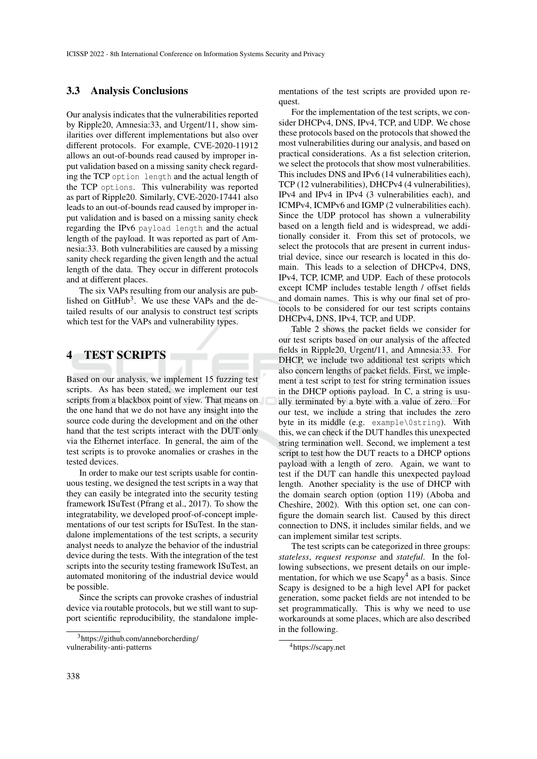### 3.3 Analysis Conclusions

Our analysis indicates that the vulnerabilities reported by Ripple20, Amnesia:33, and Urgent/11, show similarities over different implementations but also over different protocols. For example, CVE-2020-11912 allows an out-of-bounds read caused by improper input validation based on a missing sanity check regarding the TCP option length and the actual length of the TCP options. This vulnerability was reported as part of Ripple20. Similarly, CVE-2020-17441 also leads to an out-of-bounds read caused by improper input validation and is based on a missing sanity check regarding the IPv6 payload length and the actual length of the payload. It was reported as part of Amnesia:33. Both vulnerabilities are caused by a missing sanity check regarding the given length and the actual length of the data. They occur in different protocols and at different places.

The six VAPs resulting from our analysis are published on  $G$ itHub<sup>3</sup>. We use these VAPs and the detailed results of our analysis to construct test scripts which test for the VAPs and vulnerability types.

### 4 TEST SCRIPTS

Based on our analysis, we implement 15 fuzzing test scripts. As has been stated, we implement our test scripts from a blackbox point of view. That means on the one hand that we do not have any insight into the source code during the development and on the other hand that the test scripts interact with the DUT only via the Ethernet interface. In general, the aim of the test scripts is to provoke anomalies or crashes in the tested devices.

In order to make our test scripts usable for continuous testing, we designed the test scripts in a way that they can easily be integrated into the security testing framework ISuTest (Pfrang et al., 2017). To show the integratability, we developed proof-of-concept implementations of our test scripts for ISuTest. In the standalone implementations of the test scripts, a security analyst needs to analyze the behavior of the industrial device during the tests. With the integration of the test scripts into the security testing framework ISuTest, an automated monitoring of the industrial device would be possible.

Since the scripts can provoke crashes of industrial device via routable protocols, but we still want to support scientific reproducibility, the standalone imple-

mentations of the test scripts are provided upon request.

For the implementation of the test scripts, we consider DHCPv4, DNS, IPv4, TCP, and UDP. We chose these protocols based on the protocols that showed the most vulnerabilities during our analysis, and based on practical considerations. As a fist selection criterion, we select the protocols that show most vulnerabilities. This includes DNS and IPv6 (14 vulnerabilities each), TCP (12 vulnerabilities), DHCPv4 (4 vulnerabilities), IPv4 and IPv4 in IPv4 (3 vulnerabilities each), and ICMPv4, ICMPv6 and IGMP (2 vulnerabilities each). Since the UDP protocol has shown a vulnerability based on a length field and is widespread, we additionally consider it. From this set of protocols, we select the protocols that are present in current industrial device, since our research is located in this domain. This leads to a selection of DHCPv4, DNS, IPv4, TCP, ICMP, and UDP. Each of these protocols except ICMP includes testable length / offset fields and domain names. This is why our final set of protocols to be considered for our test scripts contains DHCPv4, DNS, IPv4, TCP, and UDP.

Table 2 shows the packet fields we consider for our test scripts based on our analysis of the affected fields in Ripple20, Urgent/11, and Amnesia:33. For DHCP, we include two additional test scripts which also concern lengths of packet fields. First, we implement a test script to test for string termination issues in the DHCP options payload. In C, a string is usually terminated by a byte with a value of zero. For our test, we include a string that includes the zero byte in its middle (e.g. example\0string). With this, we can check if the DUT handles this unexpected string termination well. Second, we implement a test script to test how the DUT reacts to a DHCP options payload with a length of zero. Again, we want to test if the DUT can handle this unexpected payload length. Another speciality is the use of DHCP with the domain search option (option 119) (Aboba and Cheshire, 2002). With this option set, one can configure the domain search list. Caused by this direct connection to DNS, it includes similar fields, and we can implement similar test scripts.

The test scripts can be categorized in three groups: *stateless*, *request response* and *stateful*. In the following subsections, we present details on our implementation, for which we use  $Scapy<sup>4</sup>$  as a basis. Since Scapy is designed to be a high level API for packet generation, some packet fields are not intended to be set programmatically. This is why we need to use workarounds at some places, which are also described in the following.

<sup>3</sup>https://github.com/anneborcherding/ vulnerability-anti-patterns

<sup>4</sup>https://scapy.net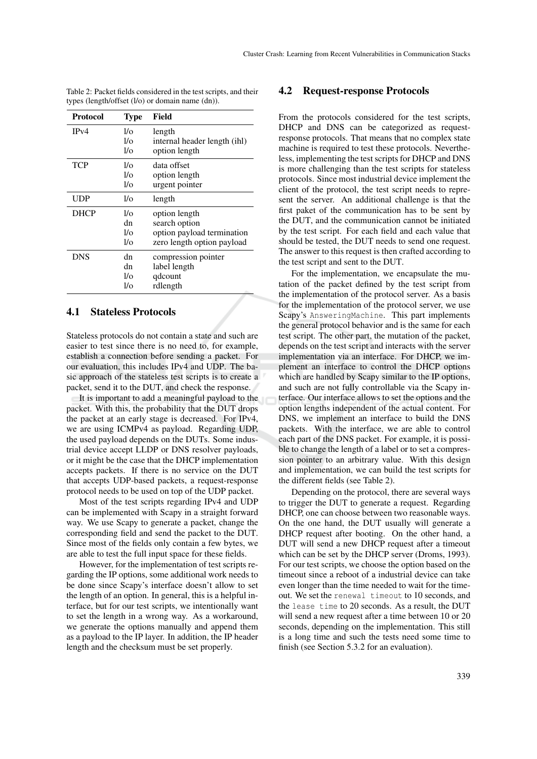| Protocol    | Type       | Field                        |
|-------------|------------|------------------------------|
| IPv4        | $1/\Omega$ | length                       |
|             | 1/6        | internal header length (ihl) |
|             | 1/6        | option length                |
| <b>TCP</b>  | $1/\Omega$ | data offset                  |
|             | 1/2        | option length                |
|             | 1/6        | urgent pointer               |
| UDP         | 1/o        | length                       |
| <b>DHCP</b> | $1/\Omega$ | option length                |
|             | dn         | search option                |
|             | $1/\Omega$ | option payload termination   |
|             | 1/o        | zero length option payload   |
| <b>DNS</b>  | dn         | compression pointer          |
|             | dn         | label length                 |
|             | $1/\Omega$ | qdcount                      |
|             | l/o        | rdlength                     |

Table 2: Packet fields considered in the test scripts, and their types (length/offset (l/o) or domain name (dn)).

### 4.1 Stateless Protocols

Stateless protocols do not contain a state and such are easier to test since there is no need to, for example, establish a connection before sending a packet. For our evaluation, this includes IPv4 and UDP. The basic approach of the stateless test scripts is to create a packet, send it to the DUT, and check the response.

It is important to add a meaningful payload to the packet. With this, the probability that the DUT drops the packet at an early stage is decreased. For IPv4, we are using ICMPv4 as payload. Regarding UDP, the used payload depends on the DUTs. Some industrial device accept LLDP or DNS resolver payloads, or it might be the case that the DHCP implementation accepts packets. If there is no service on the DUT that accepts UDP-based packets, a request-response protocol needs to be used on top of the UDP packet.

Most of the test scripts regarding IPv4 and UDP can be implemented with Scapy in a straight forward way. We use Scapy to generate a packet, change the corresponding field and send the packet to the DUT. Since most of the fields only contain a few bytes, we are able to test the full input space for these fields.

However, for the implementation of test scripts regarding the IP options, some additional work needs to be done since Scapy's interface doesn't allow to set the length of an option. In general, this is a helpful interface, but for our test scripts, we intentionally want to set the length in a wrong way. As a workaround, we generate the options manually and append them as a payload to the IP layer. In addition, the IP header length and the checksum must be set properly.

### 4.2 Request-response Protocols

From the protocols considered for the test scripts, DHCP and DNS can be categorized as requestresponse protocols. That means that no complex state machine is required to test these protocols. Nevertheless, implementing the test scripts for DHCP and DNS is more challenging than the test scripts for stateless protocols. Since most industrial device implement the client of the protocol, the test script needs to represent the server. An additional challenge is that the first paket of the communication has to be sent by the DUT, and the communication cannot be initiated by the test script. For each field and each value that should be tested, the DUT needs to send one request. The answer to this request is then crafted according to the test script and sent to the DUT.

For the implementation, we encapsulate the mutation of the packet defined by the test script from the implementation of the protocol server. As a basis for the implementation of the protocol server, we use Scapy's AnsweringMachine. This part implements the general protocol behavior and is the same for each test script. The other part, the mutation of the packet, depends on the test script and interacts with the server implementation via an interface. For DHCP, we implement an interface to control the DHCP options which are handled by Scapy similar to the IP options, and such are not fully controllable via the Scapy interface. Our interface allows to set the options and the option lengths independent of the actual content. For DNS, we implement an interface to build the DNS packets. With the interface, we are able to control each part of the DNS packet. For example, it is possible to change the length of a label or to set a compression pointer to an arbitrary value. With this design and implementation, we can build the test scripts for the different fields (see Table 2).

Depending on the protocol, there are several ways to trigger the DUT to generate a request. Regarding DHCP, one can choose between two reasonable ways. On the one hand, the DUT usually will generate a DHCP request after booting. On the other hand, a DUT will send a new DHCP request after a timeout which can be set by the DHCP server (Droms, 1993). For our test scripts, we choose the option based on the timeout since a reboot of a industrial device can take even longer than the time needed to wait for the timeout. We set the renewal timeout to 10 seconds, and the lease time to 20 seconds. As a result, the DUT will send a new request after a time between 10 or 20 seconds, depending on the implementation. This still is a long time and such the tests need some time to finish (see Section 5.3.2 for an evaluation).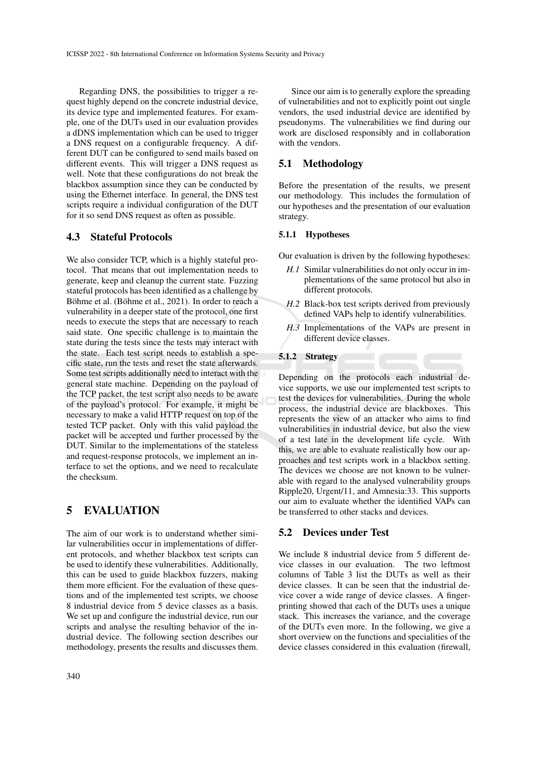Regarding DNS, the possibilities to trigger a request highly depend on the concrete industrial device, its device type and implemented features. For example, one of the DUTs used in our evaluation provides a dDNS implementation which can be used to trigger a DNS request on a configurable frequency. A different DUT can be configured to send mails based on different events. This will trigger a DNS request as well. Note that these configurations do not break the blackbox assumption since they can be conducted by using the Ethernet interface. In general, the DNS test scripts require a individual configuration of the DUT for it so send DNS request as often as possible.

### 4.3 Stateful Protocols

We also consider TCP, which is a highly stateful protocol. That means that out implementation needs to generate, keep and cleanup the current state. Fuzzing stateful protocols has been identified as a challenge by Böhme et al. (Böhme et al., 2021). In order to reach a vulnerability in a deeper state of the protocol, one first needs to execute the steps that are necessary to reach said state. One specific challenge is to maintain the state during the tests since the tests may interact with the state. Each test script needs to establish a specific state, run the tests and reset the state afterwards. Some test scripts additionally need to interact with the general state machine. Depending on the payload of the TCP packet, the test script also needs to be aware of the payload's protocol. For example, it might be necessary to make a valid HTTP request on top of the tested TCP packet. Only with this valid payload the packet will be accepted und further processed by the DUT. Similar to the implementations of the stateless and request-response protocols, we implement an interface to set the options, and we need to recalculate the checksum.

## 5 EVALUATION

The aim of our work is to understand whether similar vulnerabilities occur in implementations of different protocols, and whether blackbox test scripts can be used to identify these vulnerabilities. Additionally, this can be used to guide blackbox fuzzers, making them more efficient. For the evaluation of these questions and of the implemented test scripts, we choose 8 industrial device from 5 device classes as a basis. We set up and configure the industrial device, run our scripts and analyse the resulting behavior of the industrial device. The following section describes our methodology, presents the results and discusses them.

340

Since our aim is to generally explore the spreading of vulnerabilities and not to explicitly point out single vendors, the used industrial device are identified by pseudonyms. The vulnerabilities we find during our work are disclosed responsibly and in collaboration with the vendors.

### 5.1 Methodology

Before the presentation of the results, we present our methodology. This includes the formulation of our hypotheses and the presentation of our evaluation strategy.

#### 5.1.1 Hypotheses

Our evaluation is driven by the following hypotheses:

- *H.1* Similar vulnerabilities do not only occur in implementations of the same protocol but also in different protocols.
- *H.2* Black-box test scripts derived from previously defined VAPs help to identify vulnerabilities.
- *H.3* Implementations of the VAPs are present in different device classes.

### 5.1.2 Strategy

Depending on the protocols each industrial device supports, we use our implemented test scripts to test the devices for vulnerabilities. During the whole process, the industrial device are blackboxes. This represents the view of an attacker who aims to find vulnerabilities in industrial device, but also the view of a test late in the development life cycle. With this, we are able to evaluate realistically how our approaches and test scripts work in a blackbox setting. The devices we choose are not known to be vulnerable with regard to the analysed vulnerability groups Ripple20, Urgent/11, and Amnesia:33. This supports our aim to evaluate whether the identified VAPs can be transferred to other stacks and devices.

### 5.2 Devices under Test

We include 8 industrial device from 5 different device classes in our evaluation. The two leftmost columns of Table 3 list the DUTs as well as their device classes. It can be seen that the industrial device cover a wide range of device classes. A fingerprinting showed that each of the DUTs uses a unique stack. This increases the variance, and the coverage of the DUTs even more. In the following, we give a short overview on the functions and specialities of the device classes considered in this evaluation (firewall,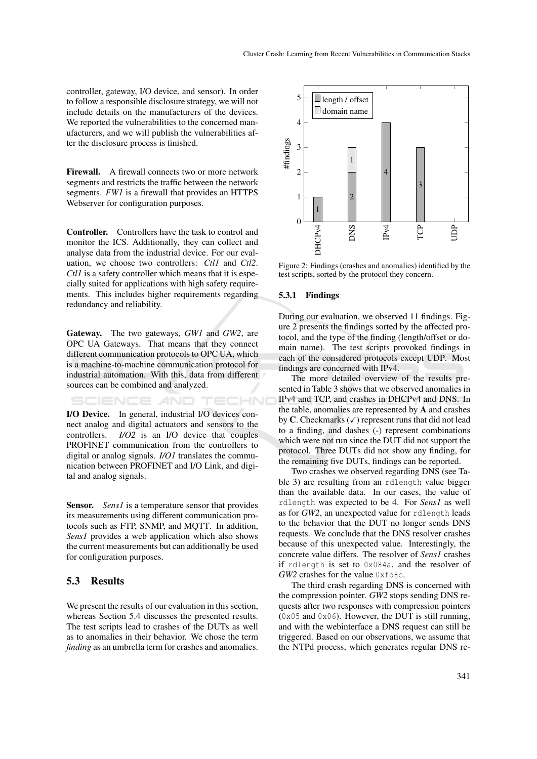controller, gateway, I/O device, and sensor). In order to follow a responsible disclosure strategy, we will not include details on the manufacturers of the devices. We reported the vulnerabilities to the concerned manufacturers, and we will publish the vulnerabilities after the disclosure process is finished.

Firewall. A firewall connects two or more network segments and restricts the traffic between the network segments. *FW1* is a firewall that provides an HTTPS Webserver for configuration purposes.

Controller. Controllers have the task to control and monitor the ICS. Additionally, they can collect and analyse data from the industrial device. For our evaluation, we choose two controllers: *Ctl1* and *Ctl2*. *Ctl1* is a safety controller which means that it is especially suited for applications with high safety requirements. This includes higher requirements regarding redundancy and reliability.

Gateway. The two gateways, *GW1* and *GW2*, are OPC UA Gateways. That means that they connect different communication protocols to OPC UA, which is a machine-to-machine communication protocol for industrial automation. With this, data from different sources can be combined and analyzed.

TECHNO AND.

I/O Device. In general, industrial I/O devices connect analog and digital actuators and sensors to the controllers. *I/O2* is an I/O device that couples PROFINET communication from the controllers to digital or analog signals. *I/O1* translates the communication between PROFINET and I/O Link, and digital and analog signals.

**Sensor.** *Sens1* is a temperature sensor that provides its measurements using different communication protocols such as FTP, SNMP, and MQTT. In addition, *Sens1* provides a web application which also shows the current measurements but can additionally be used for configuration purposes.

### 5.3 Results

We present the results of our evaluation in this section, whereas Section 5.4 discusses the presented results. The test scripts lead to crashes of the DUTs as well as to anomalies in their behavior. We chose the term *finding* as an umbrella term for crashes and anomalies.



Figure 2: Findings (crashes and anomalies) identified by the test scripts, sorted by the protocol they concern.

#### 5.3.1 Findings

During our evaluation, we observed 11 findings. Figure 2 presents the findings sorted by the affected protocol, and the type of the finding (length/offset or domain name). The test scripts provoked findings in each of the considered protocols except UDP. Most findings are concerned with IPv4.

The more detailed overview of the results presented in Table 3 shows that we observed anomalies in IPv4 and TCP, and crashes in DHCPv4 and DNS. In the table, anomalies are represented by A and crashes by C. Checkmarks  $(\checkmark)$  represent runs that did not lead to a finding, and dashes (-) represent combinations which were not run since the DUT did not support the protocol. Three DUTs did not show any finding, for the remaining five DUTs, findings can be reported.

Two crashes we observed regarding DNS (see Table 3) are resulting from an rdlength value bigger than the available data. In our cases, the value of rdlength was expected to be 4. For *Sens1* as well as for *GW2*, an unexpected value for rdlength leads to the behavior that the DUT no longer sends DNS requests. We conclude that the DNS resolver crashes because of this unexpected value. Interestingly, the concrete value differs. The resolver of *Sens1* crashes if rdlength is set to 0x084a, and the resolver of *GW2* crashes for the value 0xfd8c.

The third crash regarding DNS is concerned with the compression pointer. *GW2* stops sending DNS requests after two responses with compression pointers  $(0x05$  and  $0x06)$ . However, the DUT is still running, and with the webinterface a DNS request can still be triggered. Based on our observations, we assume that the NTPd process, which generates regular DNS re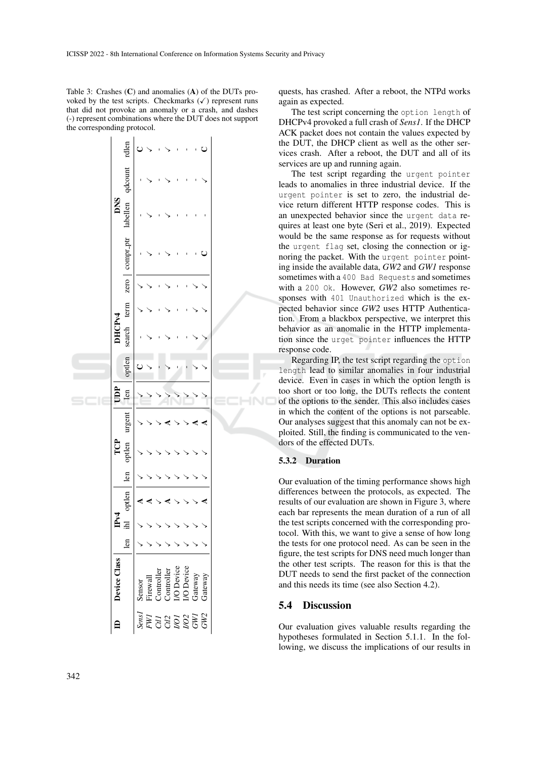Table 3: Crashes (C) and anomalies (A) of the DUTs provoked by the test scripts. Checkmarks  $(\checkmark)$  represent runs that did not provoke an anomaly or a crash, and dashes (-) represent combinations where the DUT does not support the corresponding protocol.



quests, has crashed. After a reboot, the NTPd works again as expected.

The test script concerning the option length of DHCPv4 provoked a full crash of *Sens1*. If the DHCP ACK packet does not contain the values expected by the DUT, the DHCP client as well as the other services crash. After a reboot, the DUT and all of its services are up and running again.

The test script regarding the urgent pointer leads to anomalies in three industrial device. If the urgent pointer is set to zero, the industrial device return different HTTP response codes. This is an unexpected behavior since the urgent data requires at least one byte (Seri et al., 2019). Expected would be the same response as for requests without the urgent flag set, closing the connection or ignoring the packet. With the urgent pointer pointing inside the available data, *GW2* and *GW1* response sometimes with a 400 Bad Requests and sometimes with a 200 Ok. However, *GW2* also sometimes responses with 401 Unauthorized which is the expected behavior since *GW2* uses HTTP Authentication. From a blackbox perspective, we interpret this behavior as an anomalie in the HTTP implementation since the urget pointer influences the HTTP response code.

Regarding IP, the test script regarding the option length lead to similar anomalies in four industrial device. Even in cases in which the option length is too short or too long, the DUTs reflects the content of the options to the sender. This also includes cases in which the content of the options is not parseable. Our analyses suggest that this anomaly can not be exploited. Still, the finding is communicated to the vendors of the effected DUTs.

### 5.3.2 Duration

Our evaluation of the timing performance shows high differences between the protocols, as expected. The results of our evaluation are shown in Figure 3, where each bar represents the mean duration of a run of all the test scripts concerned with the corresponding protocol. With this, we want to give a sense of how long the tests for one protocol need. As can be seen in the figure, the test scripts for DNS need much longer than the other test scripts. The reason for this is that the DUT needs to send the first packet of the connection and this needs its time (see also Section 4.2).

### 5.4 Discussion

Our evaluation gives valuable results regarding the hypotheses formulated in Section 5.1.1. In the following, we discuss the implications of our results in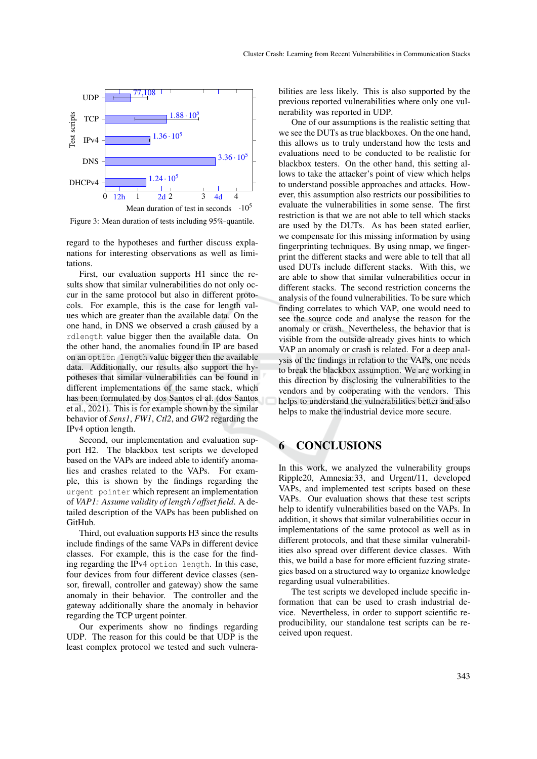

Figure 3: Mean duration of tests including 95%-quantile.

regard to the hypotheses and further discuss explanations for interesting observations as well as limitations.

First, our evaluation supports H1 since the results show that similar vulnerabilities do not only occur in the same protocol but also in different protocols. For example, this is the case for length values which are greater than the available data. On the one hand, in DNS we observed a crash caused by a rdlength value bigger then the available data. On the other hand, the anomalies found in IP are based on an option length value bigger then the available data. Additionally, our results also support the hypotheses that similar vulnerabilities can be found in different implementations of the same stack, which has been formulated by dos Santos el al. (dos Santos et al., 2021). This is for example shown by the similar behavior of *Sens1*, *FW1*, *Ctl2*, and *GW2* regarding the IPv4 option length.

Second, our implementation and evaluation support H2. The blackbox test scripts we developed based on the VAPs are indeed able to identify anomalies and crashes related to the VAPs. For example, this is shown by the findings regarding the urgent pointer which represent an implementation of *VAP1: Assume validity of length / offset field*. A detailed description of the VAPs has been published on GitHub.

Third, out evaluation supports H3 since the results include findings of the same VAPs in different device classes. For example, this is the case for the finding regarding the IPv4 option length. In this case, four devices from four different device classes (sensor, firewall, controller and gateway) show the same anomaly in their behavior. The controller and the gateway additionally share the anomaly in behavior regarding the TCP urgent pointer.

Our experiments show no findings regarding UDP. The reason for this could be that UDP is the least complex protocol we tested and such vulnera-

bilities are less likely. This is also supported by the previous reported vulnerabilities where only one vulnerability was reported in UDP.

One of our assumptions is the realistic setting that we see the DUTs as true blackboxes. On the one hand, this allows us to truly understand how the tests and evaluations need to be conducted to be realistic for blackbox testers. On the other hand, this setting allows to take the attacker's point of view which helps to understand possible approaches and attacks. However, this assumption also restricts our possibilities to evaluate the vulnerabilities in some sense. The first restriction is that we are not able to tell which stacks are used by the DUTs. As has been stated earlier, we compensate for this missing information by using fingerprinting techniques. By using nmap, we fingerprint the different stacks and were able to tell that all used DUTs include different stacks. With this, we are able to show that similar vulnerabilities occur in different stacks. The second restriction concerns the analysis of the found vulnerabilities. To be sure which finding correlates to which VAP, one would need to see the source code and analyse the reason for the anomaly or crash. Nevertheless, the behavior that is visible from the outside already gives hints to which VAP an anomaly or crash is related. For a deep analysis of the findings in relation to the VAPs, one needs to break the blackbox assumption. We are working in this direction by disclosing the vulnerabilities to the vendors and by cooperating with the vendors. This helps to understand the vulnerabilities better and also helps to make the industrial device more secure.

## 6 CONCLUSIONS

In this work, we analyzed the vulnerability groups Ripple20, Amnesia:33, and Urgent/11, developed VAPs, and implemented test scripts based on these VAPs. Our evaluation shows that these test scripts help to identify vulnerabilities based on the VAPs. In addition, it shows that similar vulnerabilities occur in implementations of the same protocol as well as in different protocols, and that these similar vulnerabilities also spread over different device classes. With this, we build a base for more efficient fuzzing strategies based on a structured way to organize knowledge regarding usual vulnerabilities.

The test scripts we developed include specific information that can be used to crash industrial device. Nevertheless, in order to support scientific reproducibility, our standalone test scripts can be received upon request.